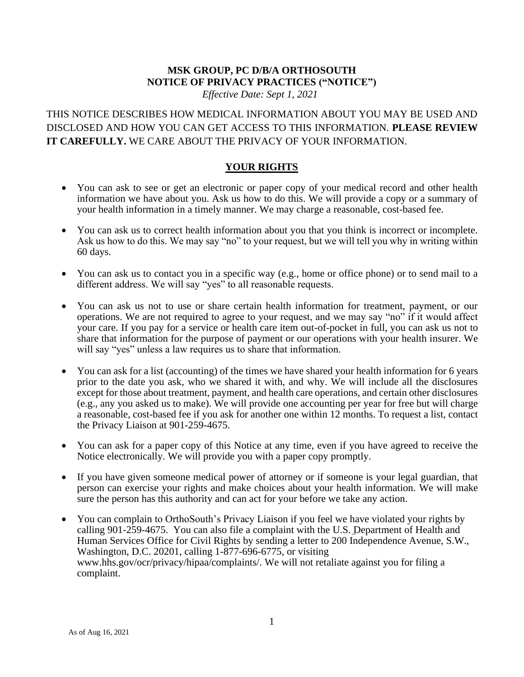### **MSK GROUP, PC D/B/A ORTHOSOUTH NOTICE OF PRIVACY PRACTICES ("NOTICE")** *Effective Date: Sept 1, 2021*

THIS NOTICE DESCRIBES HOW MEDICAL INFORMATION ABOUT YOU MAY BE USED AND DISCLOSED AND HOW YOU CAN GET ACCESS TO THIS INFORMATION. **PLEASE REVIEW IT CAREFULLY.** WE CARE ABOUT THE PRIVACY OF YOUR INFORMATION.

### **YOUR RIGHTS**

- You can ask to see or get an electronic or paper copy of your medical record and other health information we have about you. Ask us how to do this. We will provide a copy or a summary of your health information in a timely manner. We may charge a reasonable, cost-based fee.
- You can ask us to correct health information about you that you think is incorrect or incomplete. Ask us how to do this. We may say "no" to your request, but we will tell you why in writing within 60 days.
- You can ask us to contact you in a specific way (e.g., home or office phone) or to send mail to a different address. We will say "yes" to all reasonable requests.
- You can ask us not to use or share certain health information for treatment, payment, or our operations. We are not required to agree to your request, and we may say "no" if it would affect your care. If you pay for a service or health care item out-of-pocket in full, you can ask us not to share that information for the purpose of payment or our operations with your health insurer. We will say "yes" unless a law requires us to share that information.
- You can ask for a list (accounting) of the times we have shared your health information for 6 years prior to the date you ask, who we shared it with, and why. We will include all the disclosures except for those about treatment, payment, and health care operations, and certain other disclosures (e.g., any you asked us to make). We will provide one accounting per year for free but will charge a reasonable, cost-based fee if you ask for another one within 12 months. To request a list, contact the Privacy Liaison at 901-259-4675.
- You can ask for a paper copy of this Notice at any time, even if you have agreed to receive the Notice electronically. We will provide you with a paper copy promptly.
- If you have given someone medical power of attorney or if someone is your legal guardian, that person can exercise your rights and make choices about your health information. We will make sure the person has this authority and can act for your before we take any action.
- You can complain to OrthoSouth's Privacy Liaison if you feel we have violated your rights by calling 901-259-4675. You can also file a complaint with the U.S. Department of Health and Human Services Office for Civil Rights by sending a letter to 200 Independence Avenue, S.W., Washington, D.C. 20201, calling 1-877-696-6775, or visiting www.hhs.gov/ocr/privacy/hipaa/complaints/. We will not retaliate against you for filing a complaint.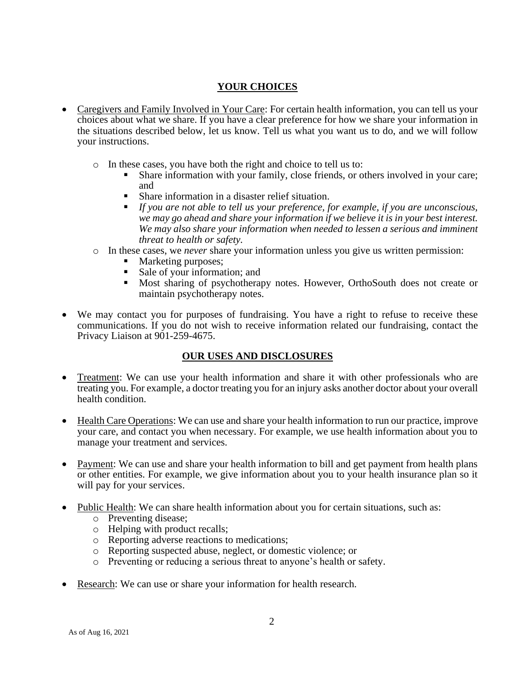## **YOUR CHOICES**

- Caregivers and Family Involved in Your Care: For certain health information, you can tell us your choices about what we share. If you have a clear preference for how we share your information in the situations described below, let us know. Tell us what you want us to do, and we will follow your instructions.
	- o In these cases, you have both the right and choice to tell us to:
		- Share information with your family, close friends, or others involved in your care; and
		- Share information in a disaster relief situation.
		- *If you are not able to tell us your preference, for example, if you are unconscious, we may go ahead and share your information if we believe it is in your best interest. We may also share your information when needed to lessen a serious and imminent threat to health or safety.*
	- o In these cases, we *never* share your information unless you give us written permission:
		- Marketing purposes;
		- Sale of your information; and
		- Most sharing of psychotherapy notes. However, OrthoSouth does not create or maintain psychotherapy notes.
- We may contact you for purposes of fundraising. You have a right to refuse to receive these communications. If you do not wish to receive information related our fundraising, contact the Privacy Liaison at 901-259-4675.

## **OUR USES AND DISCLOSURES**

- Treatment: We can use your health information and share it with other professionals who are treating you. For example, a doctor treating you for an injury asks another doctor about your overall health condition.
- Health Care Operations: We can use and share your health information to run our practice, improve your care, and contact you when necessary. For example, we use health information about you to manage your treatment and services.
- Payment: We can use and share your health information to bill and get payment from health plans or other entities. For example, we give information about you to your health insurance plan so it will pay for your services.
- Public Health: We can share health information about you for certain situations, such as:
	- o Preventing disease;
	- o Helping with product recalls;
	- o Reporting adverse reactions to medications;
	- o Reporting suspected abuse, neglect, or domestic violence; or
	- o Preventing or reducing a serious threat to anyone's health or safety.
- Research: We can use or share your information for health research.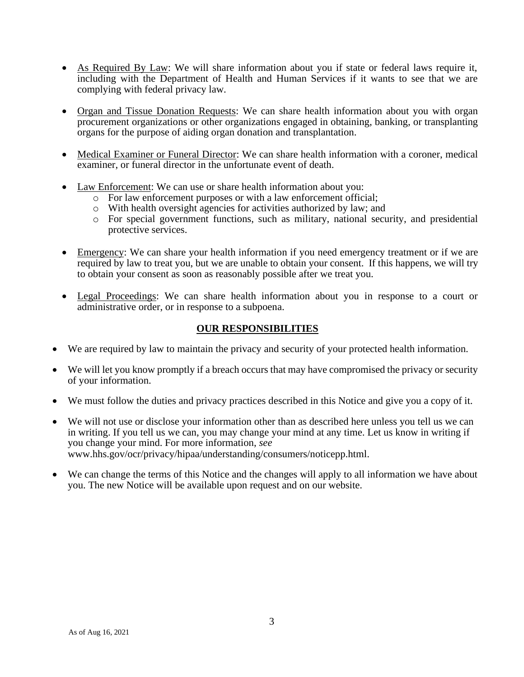- As Required By Law: We will share information about you if state or federal laws require it, including with the Department of Health and Human Services if it wants to see that we are complying with federal privacy law.
- Organ and Tissue Donation Requests: We can share health information about you with organ procurement organizations or other organizations engaged in obtaining, banking, or transplanting organs for the purpose of aiding organ donation and transplantation.
- Medical Examiner or Funeral Director: We can share health information with a coroner, medical examiner, or funeral director in the unfortunate event of death.
- Law Enforcement: We can use or share health information about you:
	- o For law enforcement purposes or with a law enforcement official;
	- o With health oversight agencies for activities authorized by law; and
	- o For special government functions, such as military, national security, and presidential protective services.
- Emergency: We can share your health information if you need emergency treatment or if we are required by law to treat you, but we are unable to obtain your consent. If this happens, we will try to obtain your consent as soon as reasonably possible after we treat you.
- Legal Proceedings: We can share health information about you in response to a court or administrative order, or in response to a subpoena.

## **OUR RESPONSIBILITIES**

- We are required by law to maintain the privacy and security of your protected health information.
- We will let you know promptly if a breach occurs that may have compromised the privacy or security of your information.
- We must follow the duties and privacy practices described in this Notice and give you a copy of it.
- We will not use or disclose your information other than as described here unless you tell us we can in writing. If you tell us we can, you may change your mind at any time. Let us know in writing if you change your mind. For more information, *see* www.hhs.gov/ocr/privacy/hipaa/understanding/consumers/noticepp.html.
- We can change the terms of this Notice and the changes will apply to all information we have about you. The new Notice will be available upon request and on our website.